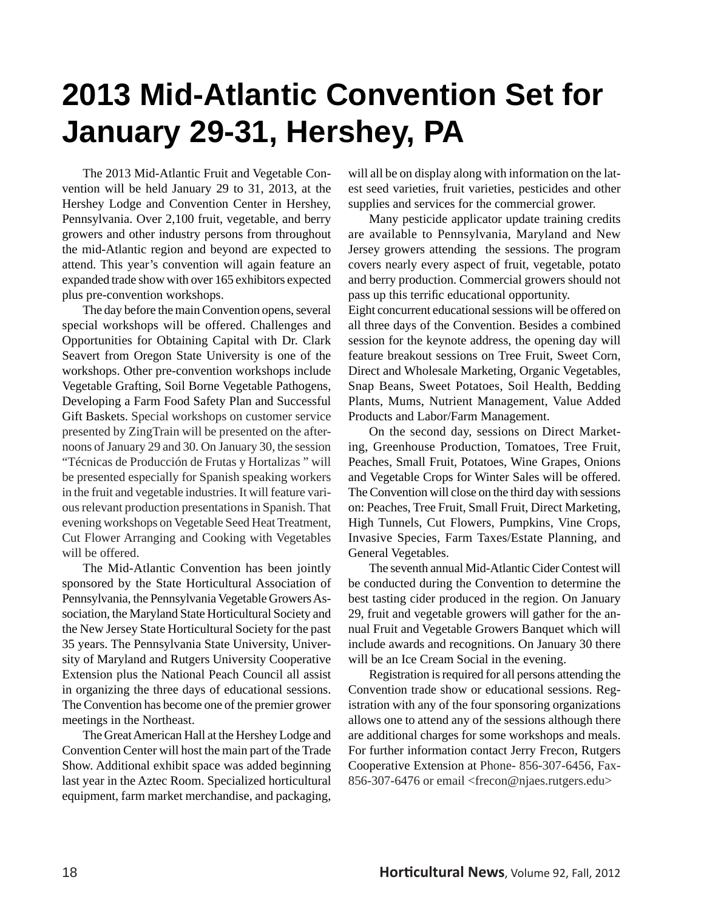## **2013 Mid-Atlantic Convention Set for January 29-31, Hershey, PA**

 The 2013 Mid-Atlantic Fruit and Vegetable Convention will be held January 29 to 31, 2013, at the Hershey Lodge and Convention Center in Hershey, Pennsylvania. Over 2,100 fruit, vegetable, and berry growers and other industry persons from throughout the mid-Atlantic region and beyond are expected to attend. This year's convention will again feature an expanded trade show with over 165 exhibitors expected plus pre-convention workshops.

 The day before the main Convention opens, several special workshops will be offered. Challenges and Opportunities for Obtaining Capital with Dr. Clark Seavert from Oregon State University is one of the workshops. Other pre-convention workshops include Vegetable Grafting, Soil Borne Vegetable Pathogens, Developing a Farm Food Safety Plan and Successful Gift Baskets. Special workshops on customer service presented by ZingTrain will be presented on the afternoons of January 29 and 30. On January 30, the session "Técnicas de Producción de Frutas y Hortalizas " will be presented especially for Spanish speaking workers in the fruit and vegetable industries. It will feature various relevant production presentations in Spanish. That evening workshops on Vegetable Seed Heat Treatment, Cut Flower Arranging and Cooking with Vegetables will be offered.

 The Mid-Atlantic Convention has been jointly sponsored by the State Horticultural Association of Pennsylvania, the Pennsylvania Vegetable Growers Association, the Maryland State Horticultural Society and the New Jersey State Horticultural Society for the past 35 years. The Pennsylvania State University, University of Maryland and Rutgers University Cooperative Extension plus the National Peach Council all assist in organizing the three days of educational sessions. The Convention has become one of the premier grower meetings in the Northeast.

 The Great American Hall at the Hershey Lodge and Convention Center will host the main part of the Trade Show. Additional exhibit space was added beginning last year in the Aztec Room. Specialized horticultural equipment, farm market merchandise, and packaging,

will all be on display along with information on the latest seed varieties, fruit varieties, pesticides and other supplies and services for the commercial grower.

 Many pesticide applicator update training credits are available to Pennsylvania, Maryland and New Jersey growers attending the sessions. The program covers nearly every aspect of fruit, vegetable, potato and berry production. Commercial growers should not pass up this terrific educational opportunity.

Eight concurrent educational sessions will be offered on all three days of the Convention. Besides a combined session for the keynote address, the opening day will feature breakout sessions on Tree Fruit, Sweet Corn, Direct and Wholesale Marketing, Organic Vegetables, Snap Beans, Sweet Potatoes, Soil Health, Bedding Plants, Mums, Nutrient Management, Value Added Products and Labor/Farm Management.

 On the second day, sessions on Direct Marketing, Greenhouse Production, Tomatoes, Tree Fruit, Peaches, Small Fruit, Potatoes, Wine Grapes, Onions and Vegetable Crops for Winter Sales will be offered. The Convention will close on the third day with sessions on: Peaches, Tree Fruit, Small Fruit, Direct Marketing, High Tunnels, Cut Flowers, Pumpkins, Vine Crops, Invasive Species, Farm Taxes/Estate Planning, and General Vegetables.

 The seventh annual Mid-Atlantic Cider Contest will be conducted during the Convention to determine the best tasting cider produced in the region. On January 29, fruit and vegetable growers will gather for the annual Fruit and Vegetable Growers Banquet which will include awards and recognitions. On January 30 there will be an Ice Cream Social in the evening.

 Registration is required for all persons attending the Convention trade show or educational sessions. Registration with any of the four sponsoring organizations allows one to attend any of the sessions although there are additional charges for some workshops and meals. For further information contact Jerry Frecon, Rutgers Cooperative Extension at Phone- 856-307-6456, Fax-856-307-6476 or email <frecon@njaes.rutgers.edu>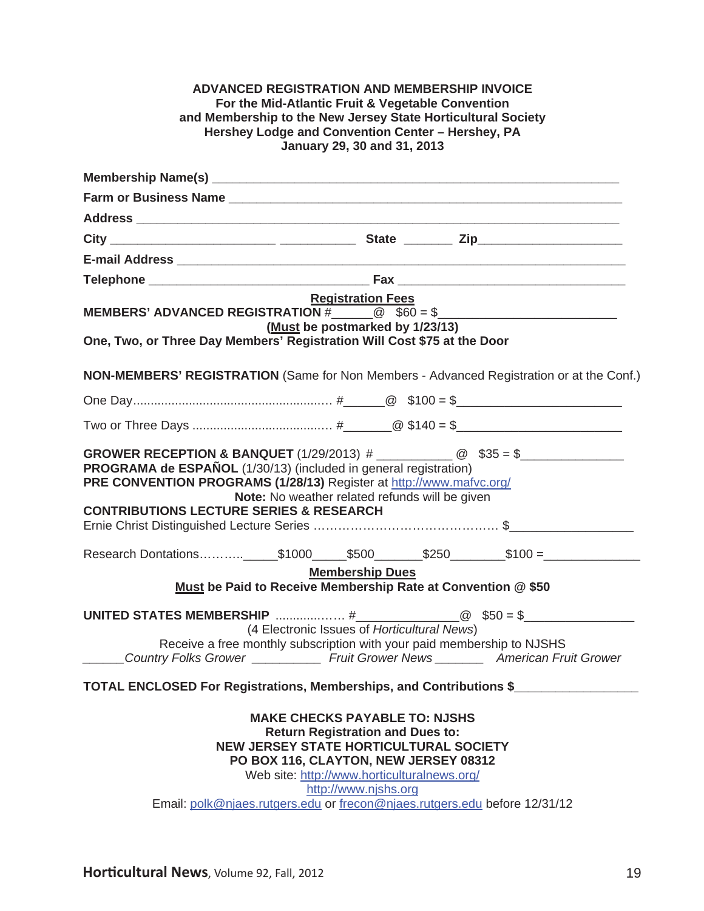| <b>ADVANCED REGISTRATION AND MEMBERSHIP INVOICE</b><br>For the Mid-Atlantic Fruit & Vegetable Convention<br>and Membership to the New Jersey State Horticultural Society<br>Hershey Lodge and Convention Center - Hershey, PA<br>January 29, 30 and 31, 2013                                                                  |  |
|-------------------------------------------------------------------------------------------------------------------------------------------------------------------------------------------------------------------------------------------------------------------------------------------------------------------------------|--|
|                                                                                                                                                                                                                                                                                                                               |  |
|                                                                                                                                                                                                                                                                                                                               |  |
|                                                                                                                                                                                                                                                                                                                               |  |
|                                                                                                                                                                                                                                                                                                                               |  |
| E-mail Address <b>Executive Contract Contract Contract Contract Contract Contract Contract Contract Contract Contract Contract Contract Contract Contract Contract Contract Contract Contract Contract Contract Contract Contrac</b>                                                                                          |  |
|                                                                                                                                                                                                                                                                                                                               |  |
| <b>Registration Fees</b><br>MEMBERS' ADVANCED REGISTRATION $\#$ 0 $\text{\$60 = $$<br>(Must be postmarked by 1/23/13)<br>One, Two, or Three Day Members' Registration Will Cost \$75 at the Door                                                                                                                              |  |
| <b>NON-MEMBERS' REGISTRATION</b> (Same for Non Members - Advanced Registration or at the Conf.)                                                                                                                                                                                                                               |  |
|                                                                                                                                                                                                                                                                                                                               |  |
|                                                                                                                                                                                                                                                                                                                               |  |
| <b>PROGRAMA de ESPAÑOL</b> (1/30/13) (included in general registration)<br>PRE CONVENTION PROGRAMS (1/28/13) Register at http://www.mafvc.org/<br>Note: No weather related refunds will be given<br><b>CONTRIBUTIONS LECTURE SERIES &amp; RESEARCH</b>                                                                        |  |
|                                                                                                                                                                                                                                                                                                                               |  |
| <b>Membership Dues</b>                                                                                                                                                                                                                                                                                                        |  |
| Must be Paid to Receive Membership Rate at Convention @ \$50                                                                                                                                                                                                                                                                  |  |
| (4 Electronic Issues of Horticultural News)<br>Receive a free monthly subscription with your paid membership to NJSHS<br>Country Folks Grower _____________ Fruit Grower News __________ American Fruit Grower                                                                                                                |  |
| TOTAL ENCLOSED For Registrations, Memberships, and Contributions \$                                                                                                                                                                                                                                                           |  |
| <b>MAKE CHECKS PAYABLE TO: NJSHS</b><br><b>Return Registration and Dues to:</b><br><b>NEW JERSEY STATE HORTICULTURAL SOCIETY</b><br>PO BOX 116, CLAYTON, NEW JERSEY 08312<br>Web site: http://www.horticulturalnews.org/<br>http://www.njshs.org<br>Email: polk@njaes.rutgers.edu or frecon@njaes.rutgers.edu before 12/31/12 |  |

**Horticultural News**, Volume 92, Fall, 2012 19